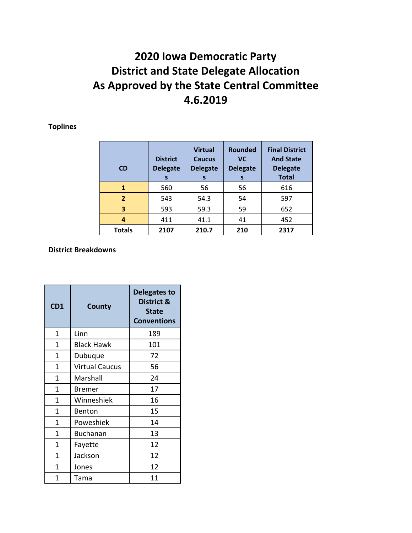## **2020 Iowa Democratic Party District and State Delegate Allocation As Approved by the State Central Committee 4.6.2019**

**Toplines**

| <b>CD</b>      | <b>District</b><br><b>Delegate</b><br>S | <b>Virtual</b><br><b>Caucus</b><br><b>Delegate</b><br>S | <b>Rounded</b><br><b>VC</b><br><b>Delegate</b><br>S | <b>Final District</b><br><b>And State</b><br><b>Delegate</b><br><b>Total</b> |
|----------------|-----------------------------------------|---------------------------------------------------------|-----------------------------------------------------|------------------------------------------------------------------------------|
| 1              | 560                                     | 56                                                      | 56                                                  | 616                                                                          |
| $\overline{2}$ | 543                                     | 54.3                                                    | 54                                                  | 597                                                                          |
| 3              | 593                                     | 59.3                                                    | 59                                                  | 652                                                                          |
| 4              | 411                                     | 41.1                                                    | 41                                                  | 452                                                                          |
| <b>Totals</b>  | 2107                                    | 210.7                                                   | 210                                                 | 2317                                                                         |

## **District Breakdowns**

| CD1 | County                | <b>Delegates to</b><br>District &<br>State<br><b>Conventions</b> |
|-----|-----------------------|------------------------------------------------------------------|
| 1   | Linn                  | 189                                                              |
| 1   | <b>Black Hawk</b>     | 101                                                              |
| 1   | Dubuque               | 72                                                               |
| 1   | <b>Virtual Caucus</b> | 56                                                               |
| 1   | Marshall              | 24                                                               |
| 1   | Bremer                | 17                                                               |
| 1   | Winneshiek            | 16                                                               |
| 1   | Benton                | 15                                                               |
| 1   | Poweshiek             | 14                                                               |
| 1   | <b>Buchanan</b>       | 13                                                               |
| 1   | Fayette               | 12                                                               |
| 1   | Jackson               | 12                                                               |
| 1   | Jones                 | 12                                                               |
| 1   | Tama                  | 11                                                               |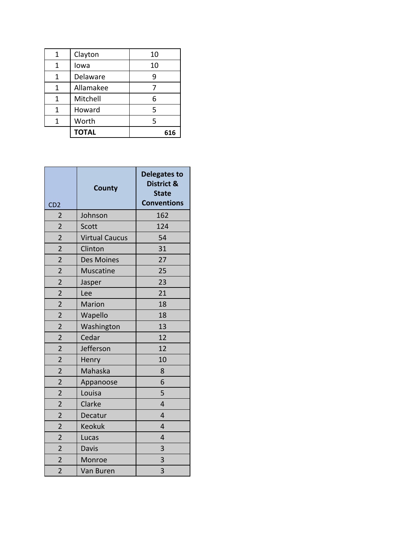| 1 | Clayton      | 10  |
|---|--------------|-----|
| 1 | Iowa         | 10  |
| 1 | Delaware     |     |
| 1 | Allamakee    |     |
| 1 | Mitchell     | 6   |
| 1 | Howard       | 5   |
| 1 | Worth        | 5   |
|   | <b>TOTAL</b> | 616 |

| CD <sub>2</sub> | <b>County</b>         | <b>Delegates to</b><br>District &<br><b>State</b><br><b>Conventions</b> |
|-----------------|-----------------------|-------------------------------------------------------------------------|
| $\overline{2}$  | Johnson               | 162                                                                     |
| $\overline{2}$  | Scott                 | 124                                                                     |
| $\overline{2}$  | <b>Virtual Caucus</b> | 54                                                                      |
| $\overline{2}$  | Clinton               | 31                                                                      |
| $\overline{2}$  | <b>Des Moines</b>     | 27                                                                      |
| $\overline{2}$  | Muscatine             | 25                                                                      |
| $\overline{2}$  | Jasper                | 23                                                                      |
| $\overline{2}$  | Lee                   | 21                                                                      |
| $\overline{2}$  | Marion                | 18                                                                      |
| $\overline{2}$  | Wapello               | 18                                                                      |
| $\overline{2}$  | Washington            | 13                                                                      |
| $\overline{2}$  | Cedar                 | 12                                                                      |
| $\overline{2}$  | Jefferson             | 12                                                                      |
| $\overline{2}$  | Henry                 | 10                                                                      |
| $\overline{2}$  | Mahaska               | 8                                                                       |
| $\overline{2}$  | Appanoose             | 6                                                                       |
| $\overline{2}$  | Louisa                | 5                                                                       |
| $\overline{2}$  | Clarke                | $\overline{4}$                                                          |
| $\overline{2}$  | Decatur               | 4                                                                       |
| $\overline{2}$  | <b>Keokuk</b>         | 4                                                                       |
| $\overline{2}$  | Lucas                 | 4                                                                       |
| $\overline{2}$  | Davis                 | 3                                                                       |
| $\overline{2}$  | Monroe                | 3                                                                       |
| $\overline{2}$  | Van Buren             | 3                                                                       |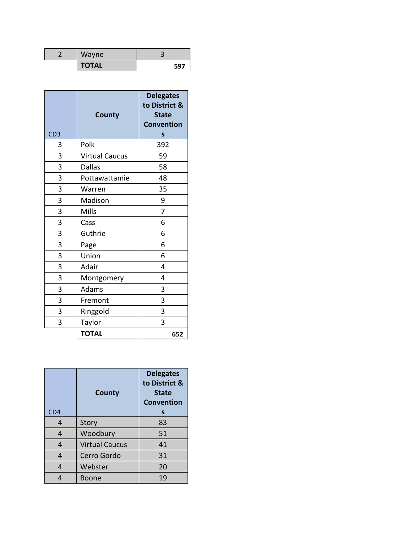| Wayne        |     |
|--------------|-----|
| <b>TOTAL</b> | 597 |

| CD <sub>3</sub> | <b>County</b>         | <b>Delegates</b><br>to District &<br><b>State</b><br><b>Convention</b><br>S |
|-----------------|-----------------------|-----------------------------------------------------------------------------|
| 3               | Polk                  | 392                                                                         |
| 3               | <b>Virtual Caucus</b> | 59                                                                          |
| 3               | <b>Dallas</b>         | 58                                                                          |
| 3               | Pottawattamie         | 48                                                                          |
| 3               | Warren                | 35                                                                          |
| 3               | Madison               | 9                                                                           |
| 3               | <b>Mills</b>          | 7                                                                           |
| 3               | Cass                  | 6                                                                           |
| 3               | Guthrie               | 6                                                                           |
| 3               | Page                  | 6                                                                           |
| 3               | Union                 | 6                                                                           |
| 3               | Adair                 | 4                                                                           |
| 3               | Montgomery            | 4                                                                           |
| 3               | Adams                 | 3                                                                           |
| 3               | Fremont               | 3                                                                           |
| 3               | Ringgold              | 3                                                                           |
| 3               | Taylor                | 3                                                                           |
|                 | <b>TOTAL</b>          | 652                                                                         |

| CD4 | <b>County</b>         | <b>Delegates</b><br>to District &<br><b>State</b><br>Convention<br>S |
|-----|-----------------------|----------------------------------------------------------------------|
| 4   | Story                 | 83                                                                   |
| 4   | Woodbury              | 51                                                                   |
| 4   | <b>Virtual Caucus</b> | 41                                                                   |
| 4   | Cerro Gordo           | 31                                                                   |
| 4   | Webster               | 20                                                                   |
|     | Boone                 | 19                                                                   |